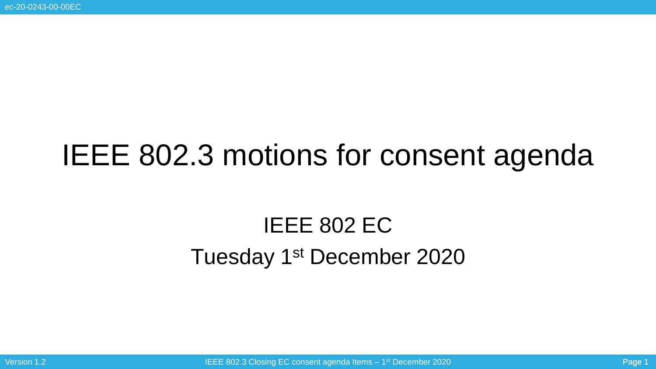# IEEE 802.3 motions for consent agenda

# IEEE 802 EC Tuesday 1st December 2020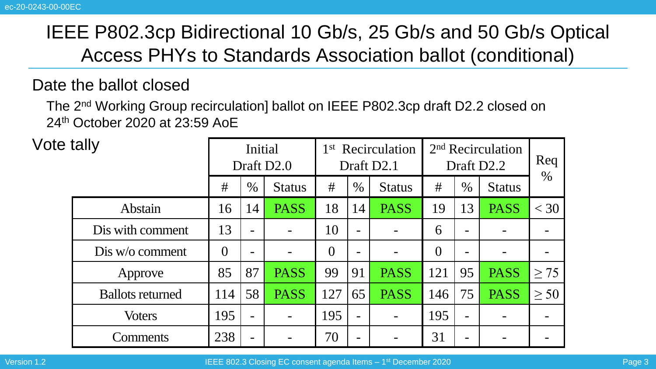#### Date the ballot closed

The 2nd Working Group recirculation] ballot on IEEE P802.3cp draft D2.2 closed on 24th October 2020 at 23:59 AoE

| Vote tally |                         | Initial<br>Draft D <sub>2.0</sub> |      |               | 1 <sup>st</sup> Recirculation<br>Draft D2.1 |                 |               | 2 <sup>nd</sup> Recirculation<br>Draft D2.2 | Req<br>$\%$    |               |           |
|------------|-------------------------|-----------------------------------|------|---------------|---------------------------------------------|-----------------|---------------|---------------------------------------------|----------------|---------------|-----------|
|            |                         | #                                 | $\%$ | <b>Status</b> | #                                           | $\%$            | <b>Status</b> | #                                           | $\%$           | <b>Status</b> |           |
|            | <b>Abstain</b>          | 16                                | 14   | <b>PASS</b>   | 18                                          | 14              | PASS          | 19                                          | 13             | <b>PASS</b>   | $<$ 30    |
|            | Dis with comment        | 13                                |      |               | 10                                          |                 |               | 6                                           |                |               |           |
|            | Dis w/o comment         | $\Omega$                          |      |               | $\overline{0}$                              |                 |               | $\Omega$                                    |                |               |           |
|            | Approve                 | 85                                | 87   | <b>PASS</b>   | 99                                          | 91              | <b>PASS</b>   | 121                                         | 95             | <b>PASS</b>   | $\geq$ 75 |
|            | <b>Ballots returned</b> | 114                               | 58   | <b>PASS</b>   | 127                                         | 65              | <b>PASS</b>   | 146                                         | 75             | <b>PASS</b>   | $\geq 50$ |
|            | <b>Voters</b>           | 195                               |      |               | 195                                         | $\qquad \qquad$ |               | 195                                         |                |               |           |
|            | Comments                | 238                               |      |               | 70                                          | $\equiv$        |               | 31                                          | $\blacksquare$ |               |           |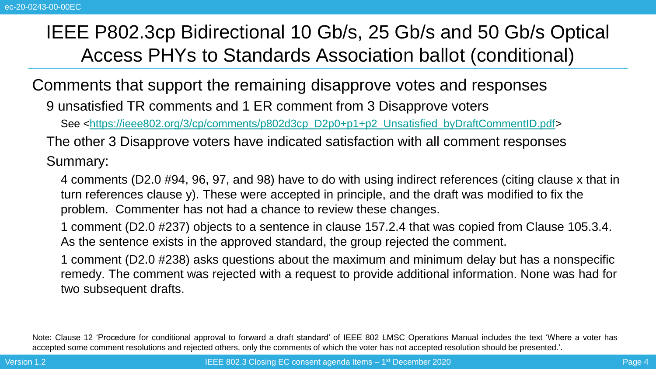Comments that support the remaining disapprove votes and responses

9 unsatisfied TR comments and 1 ER comment from 3 Disapprove voters

See [<https://ieee802.org/3/cp/comments/p802d3cp\\_D2p0+p1+p2\\_Unsatisfied\\_byDraftCommentID.pdf>](https://ieee802.org/3/cp/comments/p802d3cp_D2p0+p1+p2_Unsatisfied_byDraftCommentID.pdf)

The other 3 Disapprove voters have indicated satisfaction with all comment responses

Summary:

4 comments (D2.0 #94, 96, 97, and 98) have to do with using indirect references (citing clause x that in turn references clause y). These were accepted in principle, and the draft was modified to fix the problem. Commenter has not had a chance to review these changes.

1 comment (D2.0 #237) objects to a sentence in clause 157.2.4 that was copied from Clause 105.3.4. As the sentence exists in the approved standard, the group rejected the comment.

1 comment (D2.0 #238) asks questions about the maximum and minimum delay but has a nonspecific remedy. The comment was rejected with a request to provide additional information. None was had for two subsequent drafts.

Note: Clause 12 'Procedure for conditional approval to forward a draft standard' of IEEE 802 LMSC Operations Manual includes the text 'Where a voter has accepted some comment resolutions and rejected others, only the comments of which the voter has not accepted resolution should be presented.'.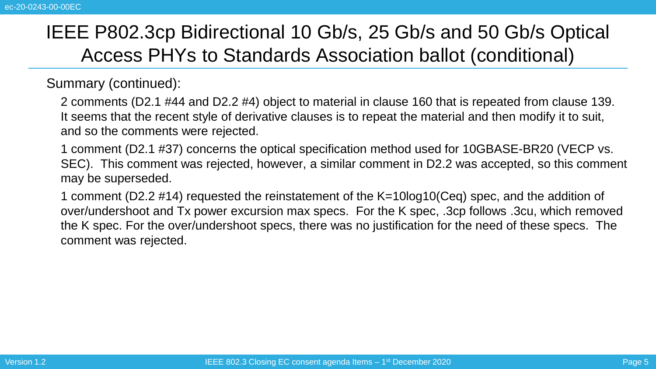Summary (continued):

2 comments (D2.1 #44 and D2.2 #4) object to material in clause 160 that is repeated from clause 139. It seems that the recent style of derivative clauses is to repeat the material and then modify it to suit, and so the comments were rejected.

1 comment (D2.1 #37) concerns the optical specification method used for 10GBASE-BR20 (VECP vs. SEC). This comment was rejected, however, a similar comment in D2.2 was accepted, so this comment may be superseded.

1 comment (D2.2 #14) requested the reinstatement of the K=10log10(Ceq) spec, and the addition of over/undershoot and Tx power excursion max specs. For the K spec, .3cp follows .3cu, which removed the K spec. For the over/undershoot specs, there was no justification for the need of these specs. The comment was rejected.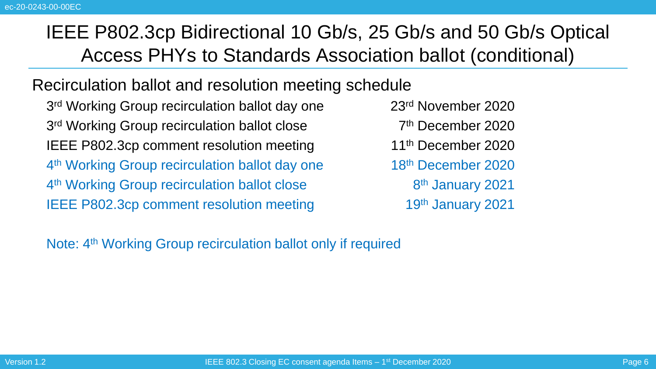#### Recirculation ballot and resolution meeting schedule

3<sup>rd</sup> Working Group recirculation ballot day one  $23<sup>rd</sup>$  November 2020 3<sup>rd</sup> Working Group recirculation ballot close 7 IEEE P802.3cp comment resolution meeting 11<sup>th</sup> December 2020 4<sup>th</sup> Working Group recirculation ballot day one **18<sup>th</sup> December 2020** 4 th Working Group recirculation ballot close 8 IEEE P802.3cp comment resolution meeting 19th January 2021

7<sup>th</sup> December 2020 8<sup>th</sup> January 2021

Note: 4<sup>th</sup> Working Group recirculation ballot only if required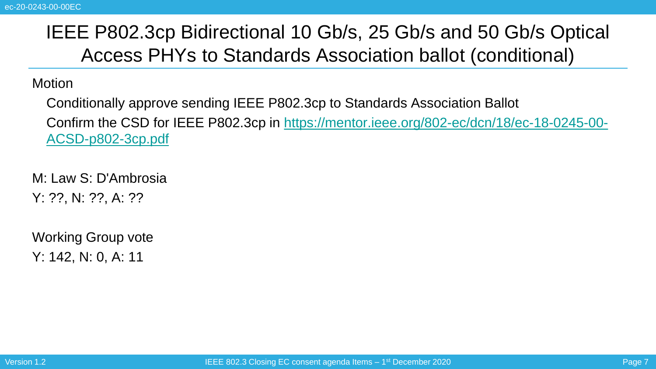#### **Motion**

Conditionally approve sending IEEE P802.3cp to Standards Association Ballot [Confirm the CSD for IEEE P802.3cp in https://mentor.ieee.org/802-ec/dcn/18/ec-18-0245-00-](https://mentor.ieee.org/802-ec/dcn/18/ec-18-0245-00-ACSD-p802-3cp.pdf) ACSD-p802-3cp.pdf

M: Law S: D'Ambrosia Y: ??, N: ??, A: ??

Working Group vote Y: 142, N: 0, A: 11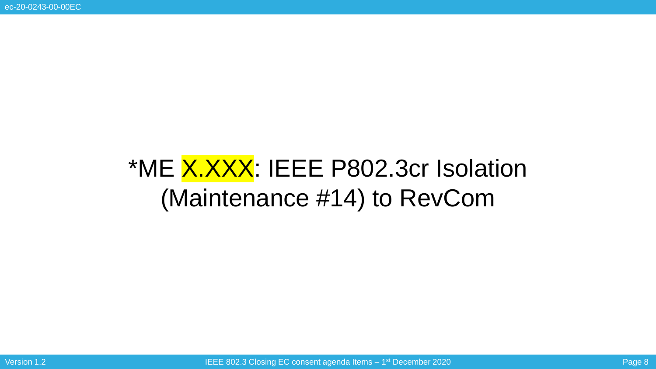# \*ME X.XXX: IEEE P802.3cr Isolation (Maintenance #14) to RevCom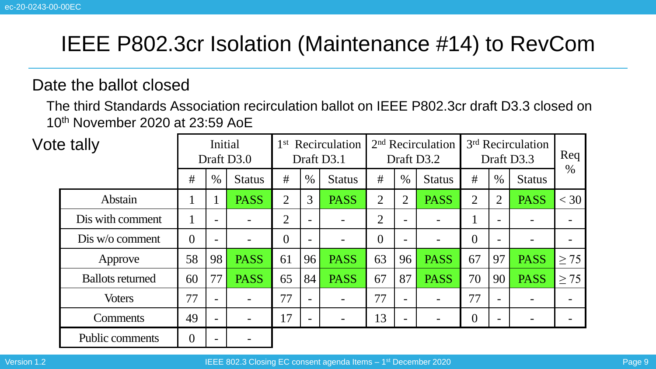## IEEE P802.3cr Isolation (Maintenance #14) to RevCom

#### Date the ballot closed

The third Standards Association recirculation ballot on IEEE P802.3cr draft D3.3 closed on 10th November 2020 at 23:59 AoE

| Vote tally |                         | Initial<br>Draft D3.0 |                          |               | 1 <sup>st</sup><br>Recirculation<br>Draft D3.1 |                          |               | 2 <sup>nd</sup> Recirculation<br>Draft D3.2 |                          |                          | 3 <sup>rd</sup> Recirculation<br>Draft D3.3 |                |                          | Req       |
|------------|-------------------------|-----------------------|--------------------------|---------------|------------------------------------------------|--------------------------|---------------|---------------------------------------------|--------------------------|--------------------------|---------------------------------------------|----------------|--------------------------|-----------|
|            |                         | #                     | $\%$                     | <b>Status</b> | #                                              | $\%$                     | <b>Status</b> | #                                           | $\%$                     | <b>Status</b>            | #                                           | $\%$           | <b>Status</b>            | $\%$      |
|            | Abstain                 |                       |                          | <b>PASS</b>   | $\overline{2}$                                 | 3                        | <b>PASS</b>   | 2                                           | $\overline{2}$           | <b>PASS</b>              | $\overline{2}$                              | $\overline{2}$ | <b>PASS</b>              | $<$ 30    |
|            | Dis with comment        |                       |                          |               | $\overline{2}$                                 | $\overline{\phantom{a}}$ |               | 2                                           | $\overline{\phantom{a}}$ |                          |                                             |                | $\overline{\phantom{0}}$ |           |
|            | Dis w/o comment         | $\theta$              |                          |               | $\overline{0}$                                 | $\overline{\phantom{0}}$ |               | $\Omega$                                    | $\overline{\phantom{0}}$ |                          | $\theta$                                    |                |                          |           |
|            | Approve                 | 58                    | 98                       | <b>PASS</b>   | 61                                             | 96                       | <b>PASS</b>   | 63                                          | 96                       | <b>PASS</b>              | 67                                          | 97             | <b>PASS</b>              | $\geq$ 75 |
|            | <b>Ballots returned</b> | 60                    | 77                       | <b>PASS</b>   | 65                                             | 84                       | <b>PASS</b>   | 67                                          | 87                       | <b>PASS</b>              | 70                                          | 90             | <b>PASS</b>              | $\geq$ 75 |
|            | <b>Voters</b>           | 77                    | $\overline{\phantom{0}}$ |               | 77                                             | $\overline{\phantom{a}}$ |               | 77                                          | $\overline{\phantom{0}}$ | $\overline{\phantom{a}}$ | 77                                          |                |                          |           |
|            | <b>Comments</b>         | 49                    |                          |               | 17                                             | $\overline{\phantom{0}}$ |               | 13                                          | $\overline{\phantom{m}}$ |                          | $\overline{0}$                              |                |                          |           |
|            | <b>Public comments</b>  | $\theta$              |                          |               |                                                |                          |               |                                             |                          |                          |                                             |                |                          |           |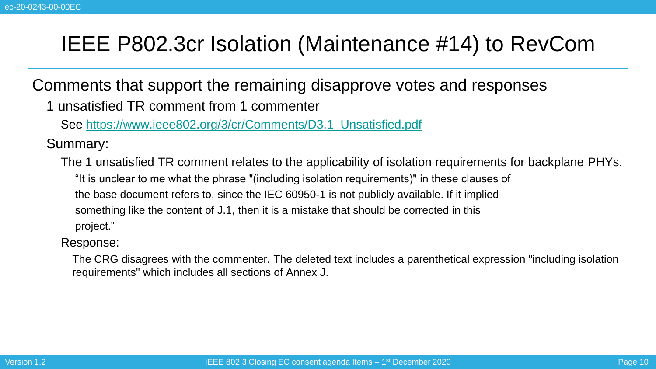## IEEE P802.3cr Isolation (Maintenance #14) to RevCom

Comments that support the remaining disapprove votes and responses

1 unsatisfied TR comment from 1 commenter

See [https://www.ieee802.org/3/cr/Comments/D3.1\\_Unsatisfied.pdf](https://www.ieee802.org/3/cr/Comments/D3.1_Unsatisfied.pdf)

Summary:

The 1 unsatisfied TR comment relates to the applicability of isolation requirements for backplane PHYs. "It is unclear to me what the phrase "(including isolation requirements)" in these clauses of the base document refers to, since the IEC 60950-1 is not publicly available. If it implied something like the content of J.1, then it is a mistake that should be corrected in this project."

Response:

The CRG disagrees with the commenter. The deleted text includes a parenthetical expression "including isolation requirements" which includes all sections of Annex J.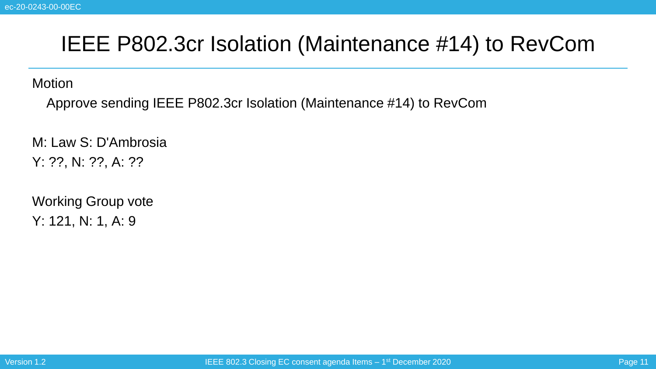### IEEE P802.3cr Isolation (Maintenance #14) to RevCom

**Motion** 

Approve sending IEEE P802.3cr Isolation (Maintenance #14) to RevCom

M: Law S: D'Ambrosia Y: ??, N: ??, A: ??

Working Group vote Y: 121, N: 1, A: 9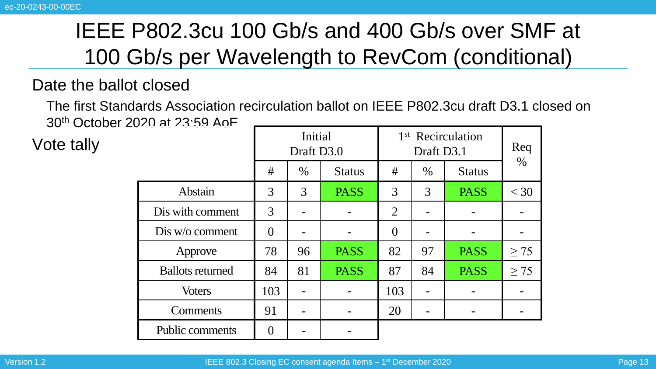#### Date the ballot closed

The first Standards Association recirculation ballot on IEEE P802.3cu draft D3.1 closed on 30th October 2020 at 23:59 AoE

Vote tally

|                         |                       | Initial<br>Draft D3.0 |               | 1 <sup>st</sup> Recirculation | Req         |               |           |  |
|-------------------------|-----------------------|-----------------------|---------------|-------------------------------|-------------|---------------|-----------|--|
|                         | #<br>$\%$             |                       | <b>Status</b> | #                             | $\%$        | <b>Status</b> | $\%$      |  |
| Abstain                 | 3<br>3<br><b>PASS</b> |                       | 3             | 3                             | <b>PASS</b> | $<$ 30        |           |  |
| Dis with comment        | 3                     |                       |               | $\overline{2}$                |             |               |           |  |
| Dis w/o comment         | $\theta$              |                       |               | $\theta$                      |             |               |           |  |
| Approve                 | 78                    | 96                    | <b>PASS</b>   | 82                            | 97          | <b>PASS</b>   | > 75      |  |
| <b>Ballots returned</b> | 84                    | 81                    | <b>PASS</b>   | 87                            | 84          | <b>PASS</b>   | $\geq$ 75 |  |
| <b>Voters</b>           | 103                   |                       |               | 103                           |             |               |           |  |
| <b>Comments</b>         | 91                    | -                     |               | 20                            |             |               |           |  |
| Public comments         | $\Omega$              |                       |               |                               |             |               |           |  |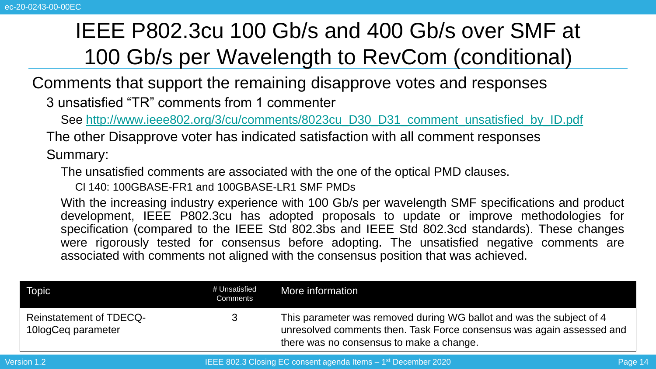Comments that support the remaining disapprove votes and responses

3 unsatisfied "TR" comments from 1 commenter

See [http://www.ieee802.org/3/cu/comments/8023cu\\_D30\\_D31\\_comment\\_unsatisfied\\_by\\_ID.pdf](http://www.ieee802.org/3/cu/comments/8023cu_D30_D31_comment_unsatisfied_by_ID.pdf)

The other Disapprove voter has indicated satisfaction with all comment responses Summary:

The unsatisfied comments are associated with the one of the optical PMD clauses.

Cl 140: 100GBASE-FR1 and 100GBASE-LR1 SMF PMDs

With the increasing industry experience with 100 Gb/s per wavelength SMF specifications and product development, IEEE P802.3cu has adopted proposals to update or improve methodologies for specification (compared to the IEEE Std 802.3bs and IEEE Std 802.3cd standards). These changes were rigorously tested for consensus before adopting. The unsatisfied negative comments are associated with comments not aligned with the consensus position that was achieved.

| Topic                                                | # Unsatisfied<br>Comments | More information                                                                                                                                                                          |
|------------------------------------------------------|---------------------------|-------------------------------------------------------------------------------------------------------------------------------------------------------------------------------------------|
| <b>Reinstatement of TDECQ-</b><br>10logCeq parameter |                           | This parameter was removed during WG ballot and was the subject of 4<br>unresolved comments then. Task Force consensus was again assessed and<br>there was no consensus to make a change. |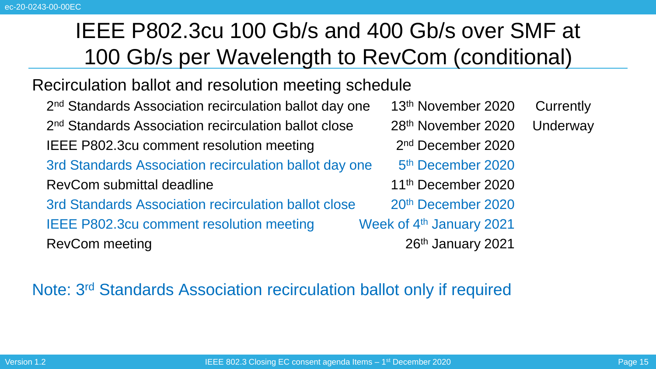#### Recirculation ballot and resolution meeting schedule

2 nd Standards Association recirculation ballot day one 13th November 2020 Currently 2<sup>nd</sup> Standards Association recirculation ballot close  $28<sup>th</sup>$  November 2020 Underway IEEE P802.3cu comment resolution meeting 3rd Standards Association recirculation ballot day one RevCom submittal deadline 11<sup>th</sup> December 2020 3rd Standards Association recirculation ballot close 20<sup>th</sup> December 2020 IEEE P802.3cu comment resolution meeting Week of 4<sup>th</sup> January 2021 RevCom meeting 2021

 $2<sup>nd</sup>$  December 2020 5<sup>th</sup> December 2020

#### Note: 3<sup>rd</sup> Standards Association recirculation ballot only if required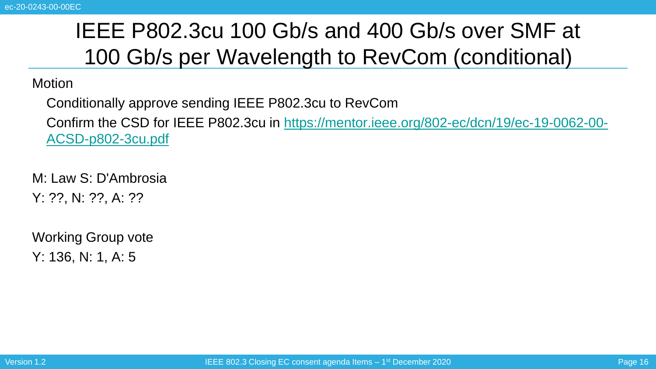#### **Motion**

Conditionally approve sending IEEE P802.3cu to RevCom

[Confirm the CSD for IEEE P802.3cu in https://mentor.ieee.org/802-ec/dcn/19/ec-19-0062-00-](https://mentor.ieee.org/802-ec/dcn/19/ec-19-0062-00-ACSD-p802-3cu.pdf) ACSD-p802-3cu.pdf

M: Law S: D'Ambrosia Y: ??, N: ??, A: ??

Working Group vote Y: 136, N: 1, A: 5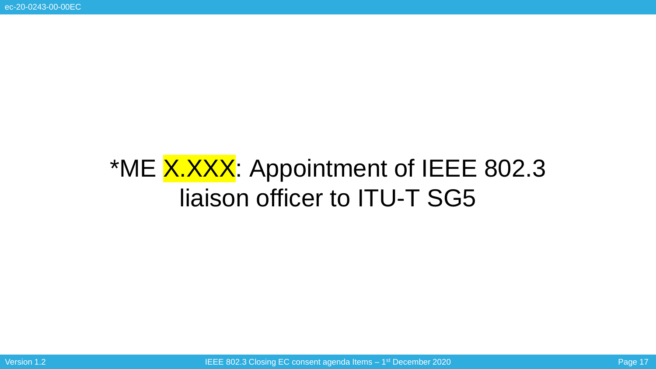# \*ME X.XXX: Appointment of IEEE 802.3 liaison officer to ITU-T SG5